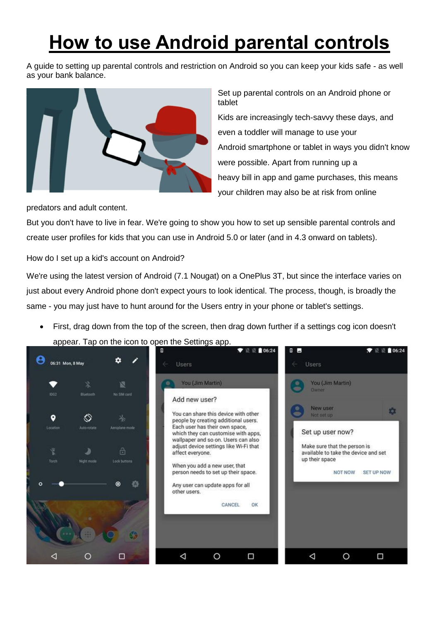## **How to use Android parental controls**

A guide to setting up parental controls and restriction on Android so you can keep your kids safe - as well as your bank balance.



Set up parental controls on an Android phone or tablet Kids are increasingly tech-savvy these days, and even a toddler will manage to use your Android [smartphone](http://www.techadvisor.co.uk/reviews/smartphones/18/) or [tablet](http://www.techadvisor.co.uk/reviews/tablet-pcs/191/) in ways you didn't know were possible. Apart from running up a heavy bill in [app](http://www.techadvisor.co.uk/reviews/apps/456/) and [game](http://www.techadvisor.co.uk/reviews/games/25/) purchases, this means your children may also be at risk from online

predators and adult content.

But you don't have to live in fear. We're going to show you how to set up sensible parental controls and create user profiles for kids that you can use in Android 5.0 or later (and in [4.3](http://www.techadvisor.co.uk/how-to/google-android/3461225/get-android-43/) onward on tablets).

How do I set up a kid's account on Android?

We're using the latest version of Android (7.1 Nougat) on a OnePlus 3T, but since the interface varies on just about every Android phone don't expect yours to look identical. The process, though, is broadly the same - you may just have to hunt around for the Users entry in your phone or tablet's settings.

 First, drag down from the top of the screen, then drag down further if a settings cog icon doesn't appear. Tap on the icon to open the Settings app.

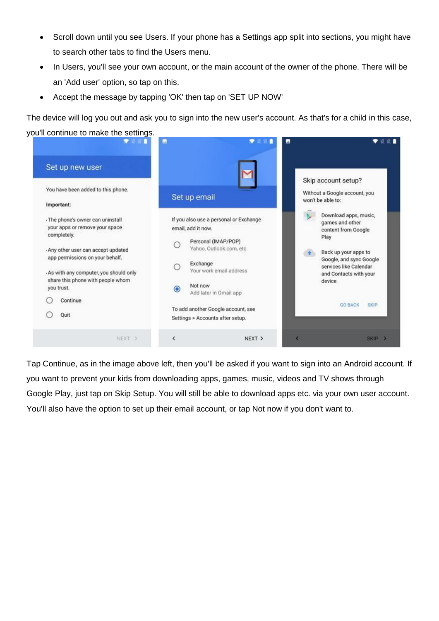- Scroll down until you see Users. If your phone has a Settings app split into sections, you might have to search other tabs to find the Users menu.
- In Users, you'll see your own account, or the main account of the owner of the phone. There will be an 'Add user' option, so tap on this.
- Accept the message by tapping 'OK' then tap on 'SET UP NOW'

The device will log you out and ask you to sign into the new user's account. As that's for a child in this case,



Tap Continue, as in the image above left, then you'll be asked if you want to sign into an Android account. If you want to prevent your kids from downloading apps, games, music, videos and TV shows through Google Play, just tap on Skip Setup. You will still be able to download apps etc. via your own user account. You'll also have the option to set up their email account, or tap Not now if you don't want to.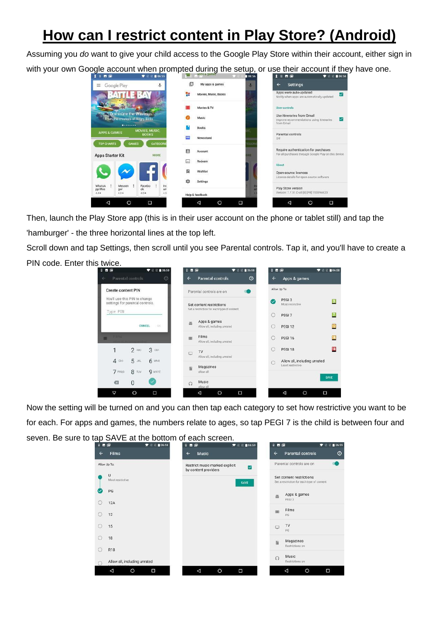## **How can I restrict content in Play Store? (Android)**

Assuming you *do* want to give your child access to the Google Play Store within their account, either sign in



Then, launch the Play Store app (this is in their user account on the phone or tablet still) and tap the 'hamburger' - the three horizontal lines at the top left.

Scroll down and tap Settings, then scroll until you see Parental controls. Tap it, and you'll have to create a PIN code. Enter this twice.



Now the setting will be turned on and you can then tap each category to set how restrictive you want to be for each. For apps and games, the numbers relate to ages, so tap PEGI 7 is the child is between four and seven. Be sure to tap SAVE at the bottom of each screen.

| 8 B @        | <b>TEN 06:58</b>                |              | 8 日 回                                                  | $\blacksquare$ 106:59 | 日西国          |                                                                        | ▼ ■ 06:59      |
|--------------|---------------------------------|--------------|--------------------------------------------------------|-----------------------|--------------|------------------------------------------------------------------------|----------------|
| $\leftarrow$ | <b>Films</b>                    | $\leftarrow$ | Music                                                  |                       | $\leftarrow$ | <b>Parental controls</b>                                               | $\circledcirc$ |
|              | Allow Up To:                    |              | Restrict music marked explicit<br>by content providers | ☑                     |              | Parental controls are on                                               |                |
|              | U<br>Most restrictive           |              |                                                        | SAVE                  |              | Set content restrictions<br>Set a restriction for each type of content |                |
|              | PG                              |              |                                                        |                       | 鱼            | Apps & games<br>PEGI3                                                  |                |
| O            | <b>12A</b>                      |              |                                                        |                       |              | Films                                                                  |                |
| ◯            | 12                              |              |                                                        |                       |              | PG                                                                     |                |
| $\circ$      | 15                              |              |                                                        |                       | $\Box$       | TV<br>PG                                                               |                |
| O            | 18                              |              |                                                        |                       | IN           | Magazines<br>Restrictions on                                           |                |
| O            | <b>R18</b>                      |              |                                                        |                       |              | Music                                                                  |                |
| 67           | Allow all, including unrated    |              |                                                        |                       | $\Omega$     | Restrictions on                                                        |                |
|              | $\circ$<br>Ο<br>$\triangleleft$ |              | $\triangleleft$<br>$\circ$                             | Ω                     |              | $\circ$<br>$\triangleleft$                                             | Ο              |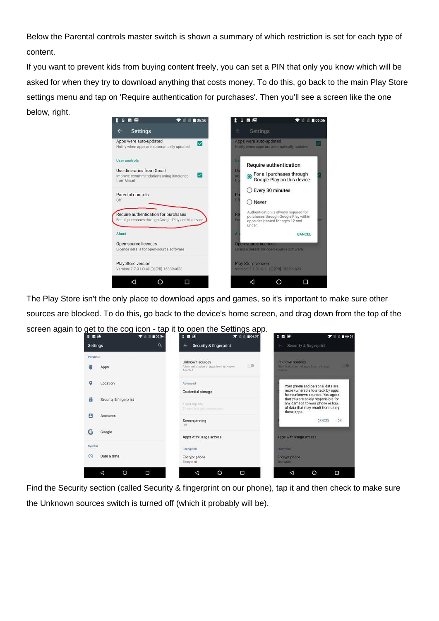Below the Parental controls master switch is shown a summary of which restriction is set for each type of content.

If you want to prevent kids from buying content freely, you can set a PIN that only you know which will be asked for when they try to download anything that costs money. To do this, go back to the main Play Store settings menu and tap on 'Require authentication for purchases'. Then you'll see a screen like the one below, right.



The Play Store isn't the only place to download apps and games, so it's important to make sure other sources are blocked. To do this, go back to the device's home screen, and drag down from the top of the screen again to get to the cog icon - tap it to open the Settings app.

| <b>Settings</b>           |                        |                                                         |                                                                                                                              |  |  |
|---------------------------|------------------------|---------------------------------------------------------|------------------------------------------------------------------------------------------------------------------------------|--|--|
|                           | Q                      | <b>Security &amp; fingerprint</b><br>$\leftarrow$       | Security & fingerprint                                                                                                       |  |  |
| Personal                  |                        | Unknown sources                                         | Unknown sources:                                                                                                             |  |  |
|                           | Apps                   | D<br>Allow installation of apps from unknown<br>sources | Allow initiallation of apps from unknown<br><b>BOUFCOR</b>                                                                   |  |  |
| ο                         | Location               | Advanced                                                | Your phone and personal data are                                                                                             |  |  |
|                           |                        | Credential storage                                      | more vulnerable to attack by apps<br>from unknown sources. You agree                                                         |  |  |
| A                         | Security & fingerprint | Trust agents<br>To use, first set a screen lock         | that you are solely responsible for<br>any damage to your phone or loss<br>of data that may result from using<br>these apps. |  |  |
| д                         | Accounts               | Screen pinning                                          | 200<br>CANCEL<br>OK                                                                                                          |  |  |
|                           |                        | Off                                                     |                                                                                                                              |  |  |
| с                         | Google                 | Apps with usage access                                  | Apps with usage access                                                                                                       |  |  |
| System                    |                        | Encryption                                              | Encryption                                                                                                                   |  |  |
| $\left(\mathbb{Q}\right)$ | Date & time            | Encrypt phone                                           | Encrypt phone                                                                                                                |  |  |
|                           |                        | Encrypted                                               | Encrypted                                                                                                                    |  |  |

Find the Security section (called Security & fingerprint on our phone), tap it and then check to make sure the Unknown sources switch is turned off (which it probably will be).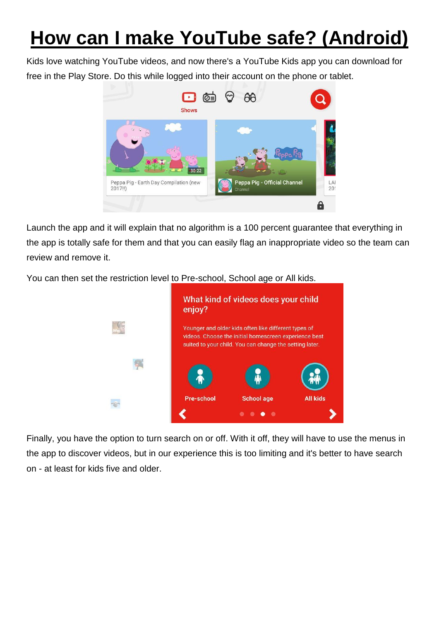## **How can I make YouTube safe? (Android)**

Kids love watching YouTube videos, and now there's a YouTube Kids app you can download for free in the Play Sto[re. Do this while logged into their account on the phone or ta](https://cdn2.techadvisor.co.uk/cmsdata/features/3461359/android-parental-controls-youtube-3.jpg)blet.



Launch the app and it will explain that no algorithm is a 100 percent guarantee that everything in the app is totally safe for them and that you can easily flag an inappropriate video so the team can review and remove it.

You can then set the restriction level to Pre-school, School age or All kids.



Finally, you have the option to turn search on or off. With it off, they will have to use the menus in the app to discover videos, but in our experience this is too limiting and it's better to have search on - at least for kids five and older.